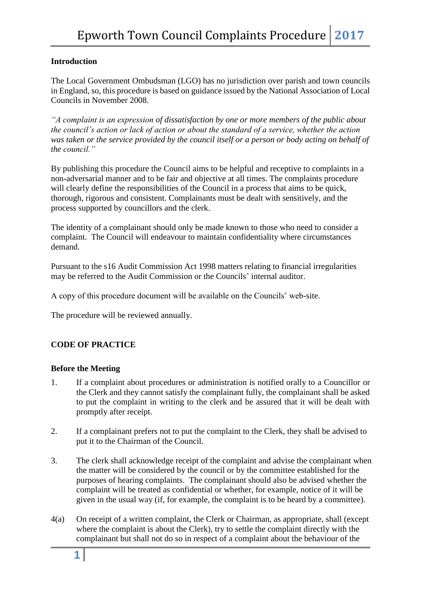# **Introduction**

The Local Government Ombudsman (LGO) has no jurisdiction over parish and town councils in England, so, this procedure is based on guidance issued by the National Association of Local Councils in November 2008.

*"A complaint is an expression of dissatisfaction by one or more members of the public about the council's action or lack of action or about the standard of a service, whether the action was taken or the service provided by the council itself or a person or body acting on behalf of the council."*

By publishing this procedure the Council aims to be helpful and receptive to complaints in a non-adversarial manner and to be fair and objective at all times. The complaints procedure will clearly define the responsibilities of the Council in a process that aims to be quick, thorough, rigorous and consistent. Complainants must be dealt with sensitively, and the process supported by councillors and the clerk.

The identity of a complainant should only be made known to those who need to consider a complaint. The Council will endeavour to maintain confidentiality where circumstances demand.

Pursuant to the s16 Audit Commission Act 1998 matters relating to financial irregularities may be referred to the Audit Commission or the Councils' internal auditor.

A copy of this procedure document will be available on the Councils' web-site.

The procedure will be reviewed annually.

## **CODE OF PRACTICE**

## **Before the Meeting**

- 1. If a complaint about procedures or administration is notified orally to a Councillor or the Clerk and they cannot satisfy the complainant fully, the complainant shall be asked to put the complaint in writing to the clerk and be assured that it will be dealt with promptly after receipt.
- 2. If a complainant prefers not to put the complaint to the Clerk, they shall be advised to put it to the Chairman of the Council.
- 3. The clerk shall acknowledge receipt of the complaint and advise the complainant when the matter will be considered by the council or by the committee established for the purposes of hearing complaints. The complainant should also be advised whether the complaint will be treated as confidential or whether, for example, notice of it will be given in the usual way (if, for example, the complaint is to be heard by a committee).
- 4(a) On receipt of a written complaint, the Clerk or Chairman, as appropriate, shall (except where the complaint is about the Clerk), try to settle the complaint directly with the complainant but shall not do so in respect of a complaint about the behaviour of the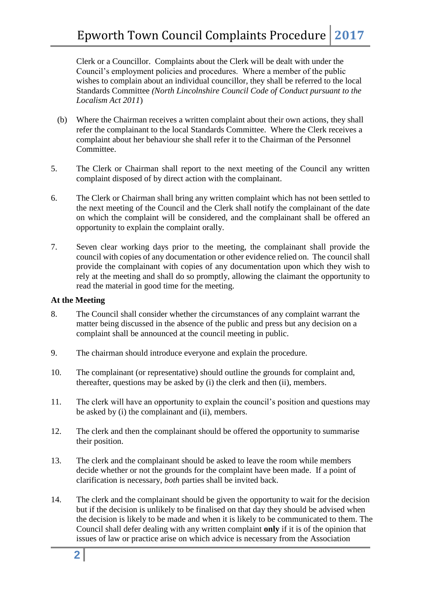Clerk or a Councillor. Complaints about the Clerk will be dealt with under the Council's employment policies and procedures. Where a member of the public wishes to complain about an individual councillor, they shall be referred to the local Standards Committee *(North Lincolnshire Council Code of Conduct pursuant to the Localism Act 2011*)

- (b) Where the Chairman receives a written complaint about their own actions, they shall refer the complainant to the local Standards Committee. Where the Clerk receives a complaint about her behaviour she shall refer it to the Chairman of the Personnel Committee.
- 5. The Clerk or Chairman shall report to the next meeting of the Council any written complaint disposed of by direct action with the complainant.
- 6. The Clerk or Chairman shall bring any written complaint which has not been settled to the next meeting of the Council and the Clerk shall notify the complainant of the date on which the complaint will be considered, and the complainant shall be offered an opportunity to explain the complaint orally.
- 7. Seven clear working days prior to the meeting, the complainant shall provide the council with copies of any documentation or other evidence relied on. The council shall provide the complainant with copies of any documentation upon which they wish to rely at the meeting and shall do so promptly, allowing the claimant the opportunity to read the material in good time for the meeting.

## **At the Meeting**

- 8. The Council shall consider whether the circumstances of any complaint warrant the matter being discussed in the absence of the public and press but any decision on a complaint shall be announced at the council meeting in public.
- 9. The chairman should introduce everyone and explain the procedure.
- 10. The complainant (or representative) should outline the grounds for complaint and, thereafter, questions may be asked by (i) the clerk and then (ii), members.
- 11. The clerk will have an opportunity to explain the council's position and questions may be asked by (i) the complainant and (ii), members.
- 12. The clerk and then the complainant should be offered the opportunity to summarise their position.
- 13. The clerk and the complainant should be asked to leave the room while members decide whether or not the grounds for the complaint have been made. If a point of clarification is necessary, *both* parties shall be invited back.
- 14. The clerk and the complainant should be given the opportunity to wait for the decision but if the decision is unlikely to be finalised on that day they should be advised when the decision is likely to be made and when it is likely to be communicated to them. The Council shall defer dealing with any written complaint **only** if it is of the opinion that issues of law or practice arise on which advice is necessary from the Association